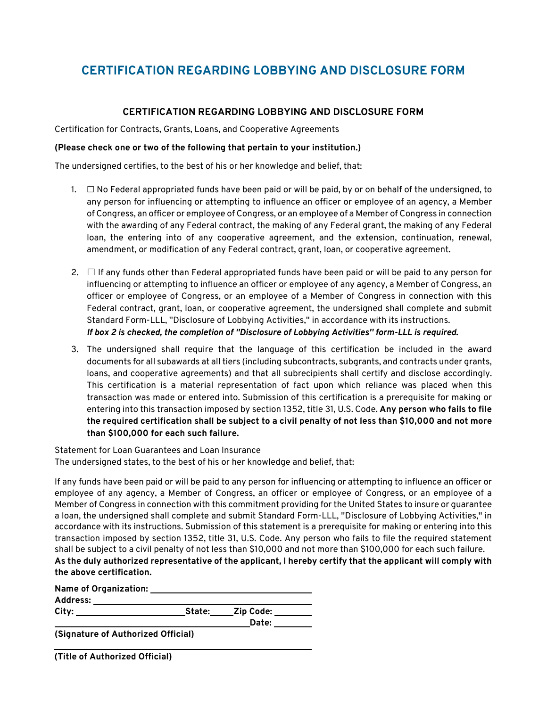# **CERTIFICATION REGARDING LOBBYING AND DISCLOSURE FORM**

#### **CERTIFICATION REGARDING LOBBYING AND DISCLOSURE FORM**

Certification for Contracts, Grants, Loans, and Cooperative Agreements

#### **(Please check one or two of the following that pertain to your institution.)**

The undersigned certifies, to the best of his or her knowledge and belief, that:

- 1.  $\Box$  No Federal appropriated funds have been paid or will be paid, by or on behalf of the undersigned, to any person for influencing or attempting to influence an officer or employee of an agency, a Member of Congress, an officer or employee of Congress, or an employee of a Member of Congress in connection with the awarding of any Federal contract, the making of any Federal grant, the making of any Federal loan, the entering into of any cooperative agreement, and the extension, continuation, renewal, amendment, or modification of any Federal contract, grant, loan, or cooperative agreement.
- 2.  $\Box$  If any funds other than Federal appropriated funds have been paid or will be paid to any person for influencing or attempting to influence an officer or employee of any agency, a Member of Congress, an officer or employee of Congress, or an employee of a Member of Congress in connection with this Federal contract, grant, loan, or cooperative agreement, the undersigned shall complete and submit Standard Form-LLL, ''Disclosure of Lobbying Activities,'' in accordance with its instructions. *If box 2 is checked, the completion of ''Disclosure of Lobbying Activities'' form-LLL is required***.**
- 3. The undersigned shall require that the language of this certification be included in the award documents for all subawards at all tiers (including subcontracts, subgrants, and contracts under grants, loans, and cooperative agreements) and that all subrecipients shall certify and disclose accordingly. This certification is a material representation of fact upon which reliance was placed when this transaction was made or entered into. Submission of this certification is a prerequisite for making or entering into this transaction imposed by section 1352, title 31, U.S. Code. **Any person who fails to file the required certification shall be subject to a civil penalty of not less than \$10,000 and not more than \$100,000 for each such failure.**

Statement for Loan Guarantees and Loan Insurance The undersigned states, to the best of his or her knowledge and belief, that:

If any funds have been paid or will be paid to any person for influencing or attempting to influence an officer or employee of any agency, a Member of Congress, an officer or employee of Congress, or an employee of a Member of Congress in connection with this commitment providing for the United States to insure or guarantee a loan, the undersigned shall complete and submit Standard Form-LLL, ''Disclosure of Lobbying Activities,'' in accordance with its instructions. Submission of this statement is a prerequisite for making or entering into this transaction imposed by section 1352, title 31, U.S. Code. Any person who fails to file the required statement shall be subject to a civil penalty of not less than \$10,000 and not more than \$100,000 for each such failure. **As the duly authorized representative of the applicant, I hereby certify that the applicant will comply with the above certification.**

| Name of Organization: Name of Organization:                                                                                                                                                                                    |                                                                                                                                                                                                                                |  |
|--------------------------------------------------------------------------------------------------------------------------------------------------------------------------------------------------------------------------------|--------------------------------------------------------------------------------------------------------------------------------------------------------------------------------------------------------------------------------|--|
| Address: ________________                                                                                                                                                                                                      |                                                                                                                                                                                                                                |  |
| City: the contract of the contract of the contract of the contract of the contract of the contract of the contract of the contract of the contract of the contract of the contract of the contract of the contract of the cont | State: Zip Code: _______                                                                                                                                                                                                       |  |
|                                                                                                                                                                                                                                | Date: the control of the control of the control of the control of the control of the control of the control of the control of the control of the control of the control of the control of the control of the control of the co |  |
| (Signature of Authorized Official)                                                                                                                                                                                             |                                                                                                                                                                                                                                |  |

**(Title of Authorized Official)**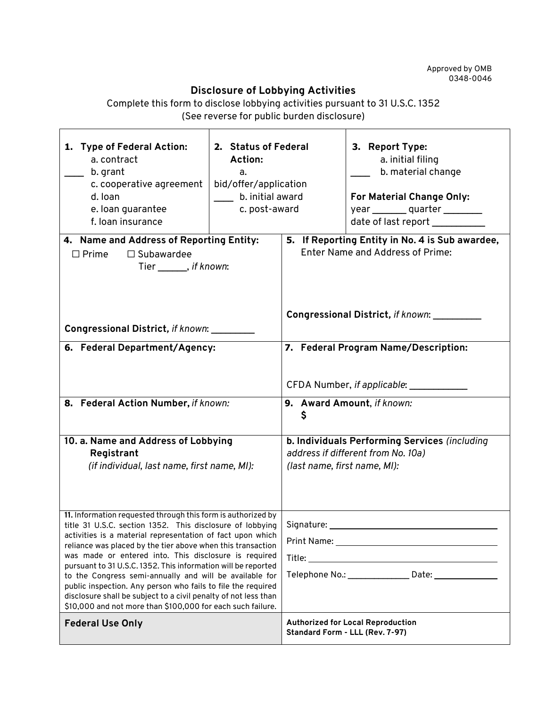## **Disclosure of Lobbying Activities**

Complete this form to disclose lobbying activities pursuant to 31 U.S.C. 1352 (See reverse for public burden disclosure)

| 1. Type of Federal Action:<br>a. contract<br>b. grant<br>c. cooperative agreement<br>d. Ioan<br>e. Ioan guarantee<br>f. Ioan insurance                                                                                                                                                                                                                                                                                                                                                                                                                                                                                                        | 2. Status of Federal<br><b>Action:</b><br>a.<br>bid/offer/application<br>b. initial award<br>c. post-award |                              | 3. Report Type:<br>a. initial filing<br>b. material change<br>For Material Change Only:<br>year ________quarter ________<br>date of last report _________ |
|-----------------------------------------------------------------------------------------------------------------------------------------------------------------------------------------------------------------------------------------------------------------------------------------------------------------------------------------------------------------------------------------------------------------------------------------------------------------------------------------------------------------------------------------------------------------------------------------------------------------------------------------------|------------------------------------------------------------------------------------------------------------|------------------------------|-----------------------------------------------------------------------------------------------------------------------------------------------------------|
| 4. Name and Address of Reporting Entity:<br>$\Box$ Subawardee<br>$\Box$ Prime<br>Tier _______, if known:                                                                                                                                                                                                                                                                                                                                                                                                                                                                                                                                      |                                                                                                            |                              | 5. If Reporting Entity in No. 4 is Sub awardee,<br><b>Enter Name and Address of Prime:</b>                                                                |
| Congressional District, if known: ___                                                                                                                                                                                                                                                                                                                                                                                                                                                                                                                                                                                                         |                                                                                                            |                              | Congressional District, if known: ________                                                                                                                |
| 6. Federal Department/Agency:                                                                                                                                                                                                                                                                                                                                                                                                                                                                                                                                                                                                                 |                                                                                                            |                              | 7. Federal Program Name/Description:                                                                                                                      |
|                                                                                                                                                                                                                                                                                                                                                                                                                                                                                                                                                                                                                                               |                                                                                                            |                              | CFDA Number, if applicable: ____________                                                                                                                  |
| 8. Federal Action Number, if known:                                                                                                                                                                                                                                                                                                                                                                                                                                                                                                                                                                                                           |                                                                                                            | \$                           | 9. Award Amount, if known:                                                                                                                                |
| 10. a. Name and Address of Lobbying<br>Registrant<br>(if individual, last name, first name, MI):                                                                                                                                                                                                                                                                                                                                                                                                                                                                                                                                              |                                                                                                            | (last name, first name, MI): | b. Individuals Performing Services (including<br>address if different from No. 10a)                                                                       |
| 11. Information requested through this form is authorized by<br>title 31 U.S.C. section 1352. This disclosure of lobbying<br>activities is a material representation of fact upon which<br>reliance was placed by the tier above when this transaction<br>was made or entered into. This disclosure is required<br>pursuant to 31 U.S.C. 1352. This information will be reported<br>to the Congress semi-annually and will be available for<br>public inspection. Any person who fails to file the required<br>disclosure shall be subject to a civil penalty of not less than<br>\$10,000 and not more than \$100,000 for each such failure. |                                                                                                            | Signature:                   |                                                                                                                                                           |
| <b>Federal Use Only</b>                                                                                                                                                                                                                                                                                                                                                                                                                                                                                                                                                                                                                       |                                                                                                            |                              | <b>Authorized for Local Reproduction</b><br>Standard Form - LLL (Rev. 7-97)                                                                               |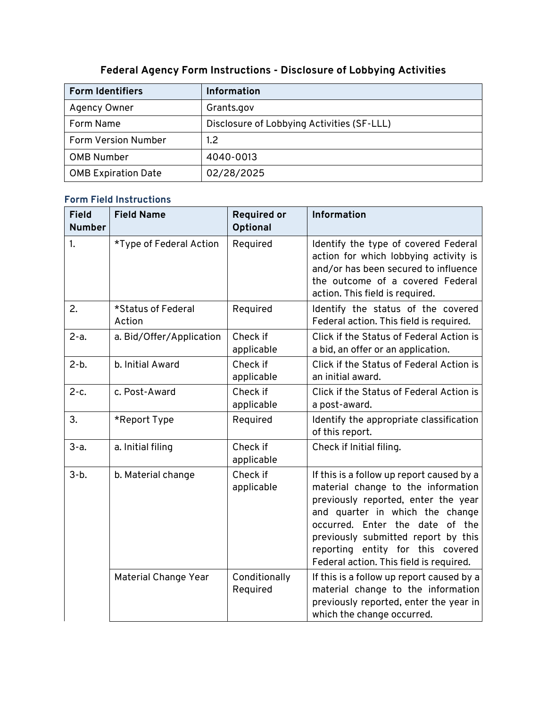# **Federal Agency Form Instructions - Disclosure of Lobbying Activities**

| <b>Form Identifiers</b>    | <b>Information</b>                         |
|----------------------------|--------------------------------------------|
| <b>Agency Owner</b>        | Grants.gov                                 |
| Form Name                  | Disclosure of Lobbying Activities (SF-LLL) |
| <b>Form Version Number</b> | $1.2\,$                                    |
| <b>OMB Number</b>          | 4040-0013                                  |
| <b>OMB Expiration Date</b> | 02/28/2025                                 |

### **Form Field Instructions**

| <b>Field</b><br><b>Number</b> | <b>Field Name</b>            | <b>Required or</b><br>Optional | Information                                                                                                                                                                                                                                                                                                            |
|-------------------------------|------------------------------|--------------------------------|------------------------------------------------------------------------------------------------------------------------------------------------------------------------------------------------------------------------------------------------------------------------------------------------------------------------|
| 1.                            | *Type of Federal Action      | Required                       | Identify the type of covered Federal<br>action for which lobbying activity is<br>and/or has been secured to influence<br>the outcome of a covered Federal<br>action. This field is required.                                                                                                                           |
| 2.                            | *Status of Federal<br>Action | Required                       | Identify the status of the covered<br>Federal action. This field is required.                                                                                                                                                                                                                                          |
| $2-a.$                        | a. Bid/Offer/Application     | Check if<br>applicable         | Click if the Status of Federal Action is<br>a bid, an offer or an application.                                                                                                                                                                                                                                         |
| $2-b.$                        | b. Initial Award             | Check if<br>applicable         | Click if the Status of Federal Action is<br>an initial award.                                                                                                                                                                                                                                                          |
| $2-c.$                        | c. Post-Award                | Check if<br>applicable         | Click if the Status of Federal Action is<br>a post-award.                                                                                                                                                                                                                                                              |
| 3.                            | *Report Type                 | Required                       | Identify the appropriate classification<br>of this report.                                                                                                                                                                                                                                                             |
| $3-a.$                        | a. Initial filing            | Check if<br>applicable         | Check if Initial filing.                                                                                                                                                                                                                                                                                               |
| $3-b.$                        | b. Material change           | Check if<br>applicable         | If this is a follow up report caused by a<br>material change to the information<br>previously reported, enter the year<br>and quarter in which the change<br>occurred. Enter the date<br>of the<br>previously submitted report by this<br>reporting entity for this covered<br>Federal action. This field is required. |
|                               | <b>Material Change Year</b>  | Conditionally<br>Required      | If this is a follow up report caused by a<br>material change to the information<br>previously reported, enter the year in<br>which the change occurred.                                                                                                                                                                |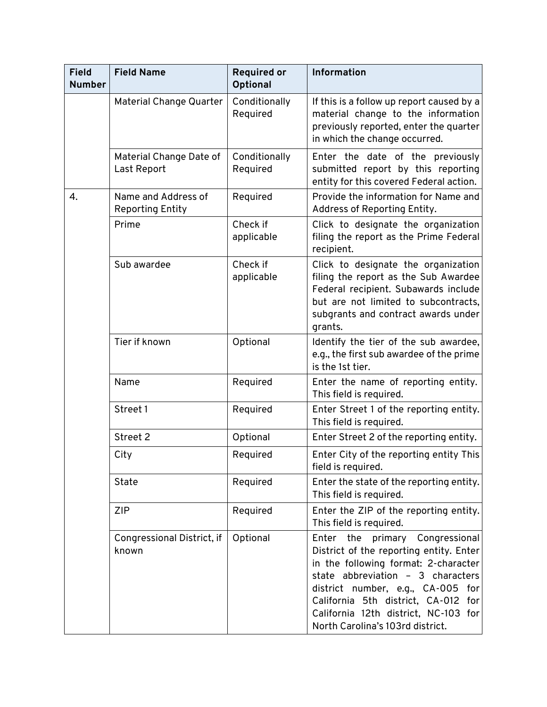| <b>Field</b><br><b>Number</b> | <b>Field Name</b>                              | <b>Required or</b><br>Optional | Information                                                                                                                                                                                                                                                                                                        |
|-------------------------------|------------------------------------------------|--------------------------------|--------------------------------------------------------------------------------------------------------------------------------------------------------------------------------------------------------------------------------------------------------------------------------------------------------------------|
|                               | <b>Material Change Quarter</b>                 | Conditionally<br>Required      | If this is a follow up report caused by a<br>material change to the information<br>previously reported, enter the quarter<br>in which the change occurred.                                                                                                                                                         |
|                               | Material Change Date of<br>Last Report         | Conditionally<br>Required      | Enter the date of the previously<br>submitted report by this reporting<br>entity for this covered Federal action.                                                                                                                                                                                                  |
| 4.                            | Name and Address of<br><b>Reporting Entity</b> | Required                       | Provide the information for Name and<br>Address of Reporting Entity.                                                                                                                                                                                                                                               |
|                               | Prime                                          | Check if<br>applicable         | Click to designate the organization<br>filing the report as the Prime Federal<br>recipient.                                                                                                                                                                                                                        |
|                               | Sub awardee                                    | Check if<br>applicable         | Click to designate the organization<br>filing the report as the Sub Awardee<br>Federal recipient. Subawards include<br>but are not limited to subcontracts,<br>subgrants and contract awards under<br>grants.                                                                                                      |
|                               | Tier if known                                  | Optional                       | Identify the tier of the sub awardee,<br>e.g., the first sub awardee of the prime<br>is the 1st tier.                                                                                                                                                                                                              |
|                               | Name                                           | Required                       | Enter the name of reporting entity.<br>This field is required.                                                                                                                                                                                                                                                     |
|                               | Street 1                                       | Required                       | Enter Street 1 of the reporting entity.<br>This field is required.                                                                                                                                                                                                                                                 |
|                               | Street 2                                       | Optional                       | Enter Street 2 of the reporting entity.                                                                                                                                                                                                                                                                            |
|                               | City                                           | Required                       | Enter City of the reporting entity This<br>field is required.                                                                                                                                                                                                                                                      |
|                               | State                                          | Required                       | Enter the state of the reporting entity.<br>This field is required.                                                                                                                                                                                                                                                |
|                               | ZIP                                            | Required                       | Enter the ZIP of the reporting entity.<br>This field is required.                                                                                                                                                                                                                                                  |
|                               | Congressional District, if<br>known            | Optional                       | Enter the primary Congressional<br>District of the reporting entity. Enter<br>in the following format: 2-character<br>state abbreviation - 3 characters<br>district number, e.g., CA-005 for<br>California 5th district, CA-012<br>for<br>California 12th district, NC-103 for<br>North Carolina's 103rd district. |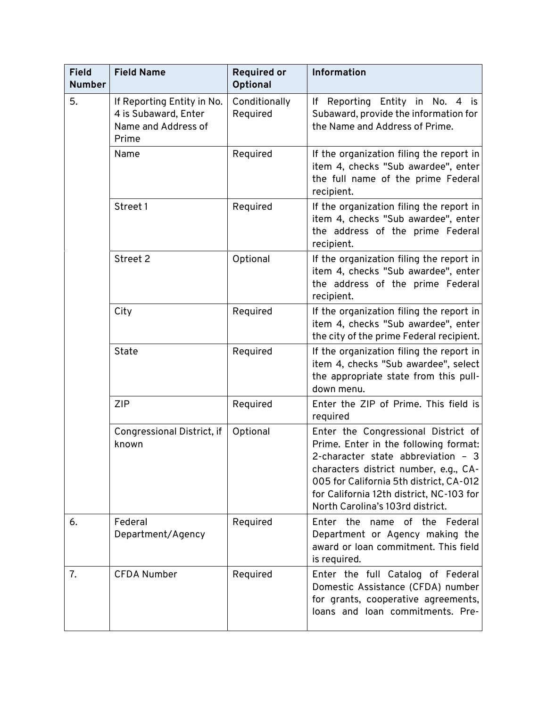| <b>Field</b><br><b>Number</b> | <b>Field Name</b>                                                                  | <b>Required or</b><br>Optional | Information                                                                                                                                                                                                                                                                            |
|-------------------------------|------------------------------------------------------------------------------------|--------------------------------|----------------------------------------------------------------------------------------------------------------------------------------------------------------------------------------------------------------------------------------------------------------------------------------|
| 5.                            | If Reporting Entity in No.<br>4 is Subaward, Enter<br>Name and Address of<br>Prime | Conditionally<br>Required      | If Reporting Entity in No. 4 is<br>Subaward, provide the information for<br>the Name and Address of Prime.                                                                                                                                                                             |
|                               | Name                                                                               | Required                       | If the organization filing the report in<br>item 4, checks "Sub awardee", enter<br>the full name of the prime Federal<br>recipient.                                                                                                                                                    |
|                               | Street 1                                                                           | Required                       | If the organization filing the report in<br>item 4, checks "Sub awardee", enter<br>the address of the prime Federal<br>recipient.                                                                                                                                                      |
|                               | Street 2                                                                           | Optional                       | If the organization filing the report in<br>item 4, checks "Sub awardee", enter<br>the address of the prime Federal<br>recipient.                                                                                                                                                      |
|                               | City                                                                               | Required                       | If the organization filing the report in<br>item 4, checks "Sub awardee", enter<br>the city of the prime Federal recipient.                                                                                                                                                            |
|                               | State                                                                              | Required                       | If the organization filing the report in<br>item 4, checks "Sub awardee", select<br>the appropriate state from this pull-<br>down menu.                                                                                                                                                |
|                               | <b>ZIP</b>                                                                         | Required                       | Enter the ZIP of Prime. This field is<br>required                                                                                                                                                                                                                                      |
|                               | Congressional District, if<br>known                                                | Optional                       | Enter the Congressional District of<br>Prime. Enter in the following format:<br>2-character state abbreviation - 3<br>characters district number, e.g., CA-<br>005 for California 5th district, CA-012<br>for California 12th district, NC-103 for<br>North Carolina's 103rd district. |
| 6.                            | Federal<br>Department/Agency                                                       | Required                       | Enter the<br>of the Federal<br>name<br>Department or Agency making the<br>award or loan commitment. This field<br>is required.                                                                                                                                                         |
| 7.                            | <b>CFDA Number</b>                                                                 | Required                       | Enter the full Catalog of Federal<br>Domestic Assistance (CFDA) number<br>for grants, cooperative agreements,<br>loans and loan commitments. Pre-                                                                                                                                      |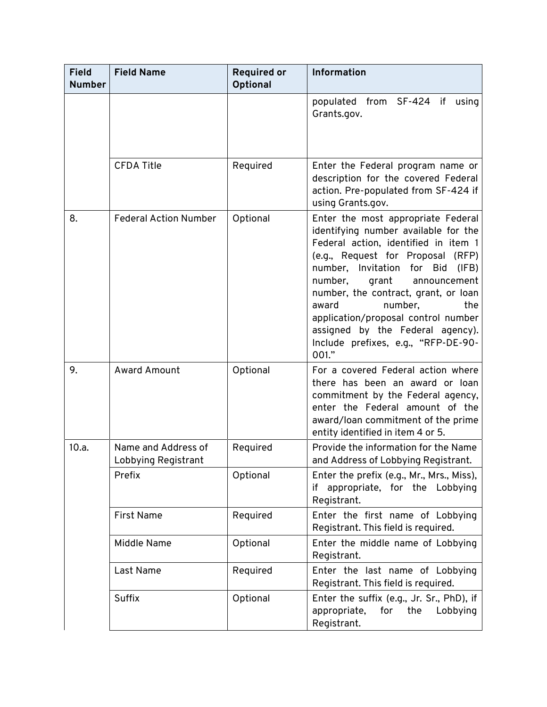| <b>Field</b><br><b>Number</b> | <b>Field Name</b>                          | <b>Required or</b><br>Optional | <b>Information</b>                                                                                                                                                                                                                                                                                                                                                                                                                            |
|-------------------------------|--------------------------------------------|--------------------------------|-----------------------------------------------------------------------------------------------------------------------------------------------------------------------------------------------------------------------------------------------------------------------------------------------------------------------------------------------------------------------------------------------------------------------------------------------|
|                               |                                            |                                | populated from SF-424 if<br>using<br>Grants.gov.                                                                                                                                                                                                                                                                                                                                                                                              |
|                               | <b>CFDA Title</b>                          | Required                       | Enter the Federal program name or<br>description for the covered Federal<br>action. Pre-populated from SF-424 if<br>using Grants.gov.                                                                                                                                                                                                                                                                                                         |
| 8.                            | <b>Federal Action Number</b>               | Optional                       | Enter the most appropriate Federal<br>identifying number available for the<br>Federal action, identified in item 1<br>(e.g., Request for Proposal (RFP)<br>number, Invitation<br>for<br><b>Bid</b><br>(IFB)<br>number,<br>grant<br>announcement<br>number, the contract, grant, or loan<br>award<br>number.<br>the<br>application/proposal control number<br>assigned by the Federal agency).<br>Include prefixes, e.g., "RFP-DE-90-<br>001." |
| 9.                            | <b>Award Amount</b>                        | Optional                       | For a covered Federal action where<br>there has been an award or loan<br>commitment by the Federal agency,<br>enter the Federal amount of the<br>award/loan commitment of the prime<br>entity identified in item 4 or 5.                                                                                                                                                                                                                      |
| 10.a.                         | Name and Address of<br>Lobbying Registrant | Required                       | Provide the information for the Name<br>and Address of Lobbying Registrant.                                                                                                                                                                                                                                                                                                                                                                   |
|                               | Prefix                                     | Optional                       | Enter the prefix (e.g., Mr., Mrs., Miss),<br>if appropriate, for the Lobbying<br>Registrant.                                                                                                                                                                                                                                                                                                                                                  |
|                               | <b>First Name</b>                          | Required                       | Enter the first name of Lobbying<br>Registrant. This field is required.                                                                                                                                                                                                                                                                                                                                                                       |
|                               | <b>Middle Name</b>                         | Optional                       | Enter the middle name of Lobbying<br>Registrant.                                                                                                                                                                                                                                                                                                                                                                                              |
|                               | Last Name                                  | Required                       | Enter the last name of Lobbying<br>Registrant. This field is required.                                                                                                                                                                                                                                                                                                                                                                        |
|                               | <b>Suffix</b>                              | Optional                       | Enter the suffix (e.g., Jr. Sr., PhD), if<br>appropriate,<br>for the Lobbying<br>Registrant.                                                                                                                                                                                                                                                                                                                                                  |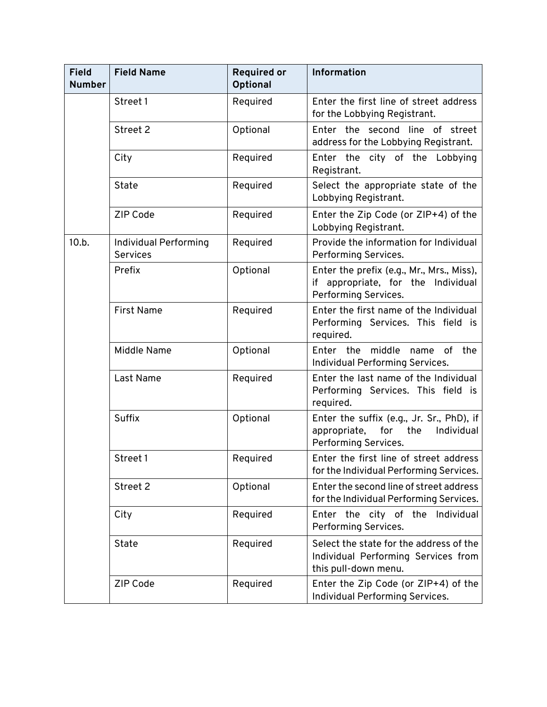| <b>Field</b><br><b>Number</b> | <b>Field Name</b>                        | <b>Required or</b><br>Optional | <b>Information</b>                                                                                            |
|-------------------------------|------------------------------------------|--------------------------------|---------------------------------------------------------------------------------------------------------------|
|                               | Street 1                                 | Required                       | Enter the first line of street address<br>for the Lobbying Registrant.                                        |
|                               | Street 2                                 | Optional                       | Enter the second line of street<br>address for the Lobbying Registrant.                                       |
|                               | City                                     | Required                       | Enter the city of the Lobbying<br>Registrant.                                                                 |
|                               | <b>State</b>                             | Required                       | Select the appropriate state of the<br>Lobbying Registrant.                                                   |
|                               | ZIP Code                                 | Required                       | Enter the Zip Code (or ZIP+4) of the<br>Lobbying Registrant.                                                  |
| 10.b.                         | Individual Performing<br><b>Services</b> | Required                       | Provide the information for Individual<br>Performing Services.                                                |
|                               | Prefix                                   | Optional                       | Enter the prefix (e.g., Mr., Mrs., Miss),<br>if appropriate, for the Individual<br>Performing Services.       |
|                               | <b>First Name</b>                        | Required                       | Enter the first name of the Individual<br>Performing Services. This field is<br>required.                     |
|                               | <b>Middle Name</b>                       | Optional                       | Enter the<br>middle<br>of the<br>name<br>Individual Performing Services.                                      |
|                               | Last Name                                | Required                       | Enter the last name of the Individual<br>Performing Services. This field is<br>required.                      |
|                               | <b>Suffix</b>                            | Optional                       | Enter the suffix (e.g., Jr. Sr., PhD), if<br>appropriate,<br>for<br>Individual<br>the<br>Performing Services. |
|                               | Street 1                                 | Required                       | Enter the first line of street address<br>for the Individual Performing Services.                             |
|                               | Street 2                                 | Optional                       | Enter the second line of street address<br>for the Individual Performing Services.                            |
|                               | City                                     | Required                       | Enter the city of the<br>Individual<br>Performing Services.                                                   |
|                               | State                                    | Required                       | Select the state for the address of the<br>Individual Performing Services from<br>this pull-down menu.        |
|                               | <b>ZIP Code</b>                          | Required                       | Enter the Zip Code (or ZIP+4) of the<br>Individual Performing Services.                                       |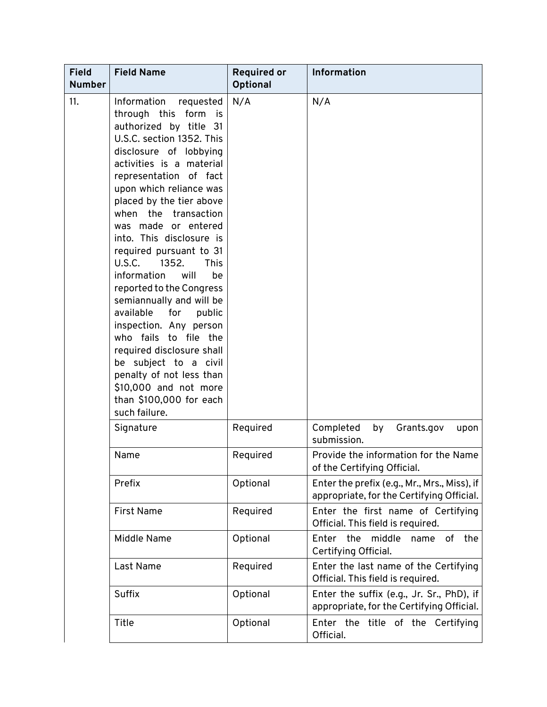| <b>Field</b><br><b>Number</b> | <b>Field Name</b>                                                                                                                                                                                                                                                                                                                                                                                                                                                                                                                                                                                                                                                                                                         | <b>Required or</b><br>Optional | <b>Information</b>                                                                        |
|-------------------------------|---------------------------------------------------------------------------------------------------------------------------------------------------------------------------------------------------------------------------------------------------------------------------------------------------------------------------------------------------------------------------------------------------------------------------------------------------------------------------------------------------------------------------------------------------------------------------------------------------------------------------------------------------------------------------------------------------------------------------|--------------------------------|-------------------------------------------------------------------------------------------|
| 11.                           | Information<br>requested<br>through this<br>form<br>is<br>authorized by title 31<br>U.S.C. section 1352. This<br>disclosure of lobbying<br>activities is a material<br>representation of fact<br>upon which reliance was<br>placed by the tier above<br>when the transaction<br>was made or entered<br>into. This disclosure is<br>required pursuant to 31<br>U.S.C.<br>1352.<br><b>This</b><br>information<br>will<br>be<br>reported to the Congress<br>semiannually and will be<br>available<br>for<br>public<br>inspection. Any person<br>who fails to file the<br>required disclosure shall<br>be subject to a civil<br>penalty of not less than<br>\$10,000 and not more<br>than \$100,000 for each<br>such failure. | N/A                            | N/A                                                                                       |
|                               | Signature                                                                                                                                                                                                                                                                                                                                                                                                                                                                                                                                                                                                                                                                                                                 | Required                       | Completed<br>by<br>Grants.gov<br>upon<br>submission.                                      |
|                               | Name                                                                                                                                                                                                                                                                                                                                                                                                                                                                                                                                                                                                                                                                                                                      | Required                       | Provide the information for the Name<br>of the Certifying Official.                       |
|                               | Prefix                                                                                                                                                                                                                                                                                                                                                                                                                                                                                                                                                                                                                                                                                                                    | Optional                       | Enter the prefix (e.g., Mr., Mrs., Miss), if<br>appropriate, for the Certifying Official. |
|                               | <b>First Name</b>                                                                                                                                                                                                                                                                                                                                                                                                                                                                                                                                                                                                                                                                                                         | Required                       | Enter the first name of Certifying<br>Official. This field is required.                   |
|                               | Middle Name                                                                                                                                                                                                                                                                                                                                                                                                                                                                                                                                                                                                                                                                                                               | Optional                       | Enter the<br>middle<br>of the<br>name<br>Certifying Official.                             |
|                               | Last Name                                                                                                                                                                                                                                                                                                                                                                                                                                                                                                                                                                                                                                                                                                                 | Required                       | Enter the last name of the Certifying<br>Official. This field is required.                |
|                               | <b>Suffix</b>                                                                                                                                                                                                                                                                                                                                                                                                                                                                                                                                                                                                                                                                                                             | Optional                       | Enter the suffix (e.g., Jr. Sr., PhD), if<br>appropriate, for the Certifying Official.    |
|                               | Title                                                                                                                                                                                                                                                                                                                                                                                                                                                                                                                                                                                                                                                                                                                     | Optional                       | Enter the title of the Certifying<br>Official.                                            |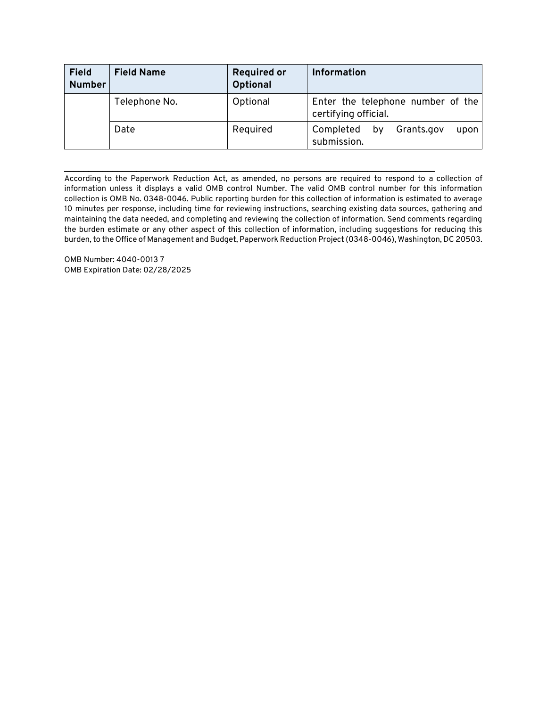| <b>Field</b><br><b>Number</b> | <b>Field Name</b> | <b>Required or</b><br>Optional | <b>Information</b>                                        |
|-------------------------------|-------------------|--------------------------------|-----------------------------------------------------------|
|                               | Telephone No.     | Optional                       | Enter the telephone number of the<br>certifying official. |
|                               | Date              | Required                       | Completed<br>Grants.gov<br>by<br>upon l<br>submission.    |

According to the Paperwork Reduction Act, as amended, no persons are required to respond to a collection of information unless it displays a valid OMB control Number. The valid OMB control number for this information collection is OMB No. 0348-0046. Public reporting burden for this collection of information is estimated to average 10 minutes per response, including time for reviewing instructions, searching existing data sources, gathering and maintaining the data needed, and completing and reviewing the collection of information. Send comments regarding the burden estimate or any other aspect of this collection of information, including suggestions for reducing this burden, to the Office of Management and Budget, Paperwork Reduction Project (0348-0046), Washington, DC 20503.

\_\_\_\_\_\_\_\_\_\_\_\_\_\_\_\_\_\_\_\_\_\_\_\_\_\_\_\_\_\_\_\_\_\_\_\_\_\_\_\_\_\_\_\_\_\_\_\_\_\_\_\_\_\_\_\_\_\_\_\_\_\_\_\_\_\_\_\_\_\_\_\_\_\_\_\_\_

OMB Number: 4040-0013 7 OMB Expiration Date: 02/28/2025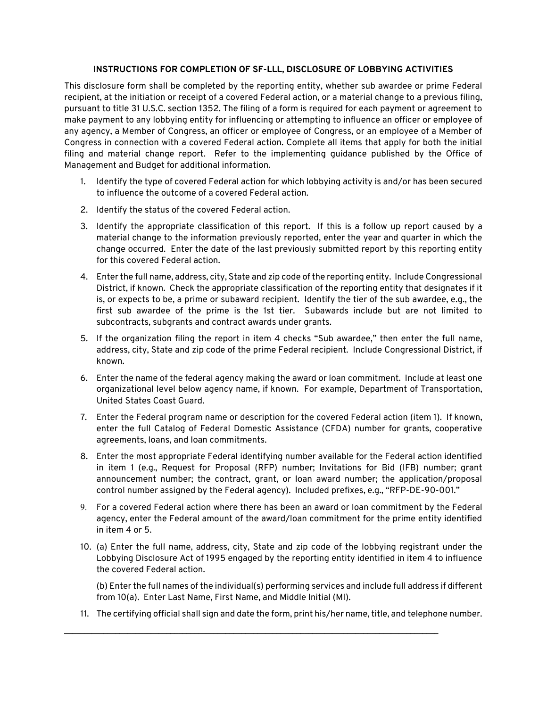#### **INSTRUCTIONS FOR COMPLETION OF SF-LLL, DISCLOSURE OF LOBBYING ACTIVITIES**

This disclosure form shall be completed by the reporting entity, whether sub awardee or prime Federal recipient, at the initiation or receipt of a covered Federal action, or a material change to a previous filing, pursuant to title 31 U.S.C. section 1352. The filing of a form is required for each payment or agreement to make payment to any lobbying entity for influencing or attempting to influence an officer or employee of any agency, a Member of Congress, an officer or employee of Congress, or an employee of a Member of Congress in connection with a covered Federal action. Complete all items that apply for both the initial filing and material change report. Refer to the implementing guidance published by the Office of Management and Budget for additional information.

- 1. Identify the type of covered Federal action for which lobbying activity is and/or has been secured to influence the outcome of a covered Federal action.
- 2. Identify the status of the covered Federal action.
- 3. Identify the appropriate classification of this report. If this is a follow up report caused by a material change to the information previously reported, enter the year and quarter in which the change occurred. Enter the date of the last previously submitted report by this reporting entity for this covered Federal action.
- 4. Enter the full name, address, city, State and zip code of the reporting entity. Include Congressional District, if known. Check the appropriate classification of the reporting entity that designates if it is, or expects to be, a prime or subaward recipient. Identify the tier of the sub awardee, e.g., the first sub awardee of the prime is the 1st tier. Subawards include but are not limited to subcontracts, subgrants and contract awards under grants.
- 5. If the organization filing the report in item 4 checks "Sub awardee," then enter the full name, address, city, State and zip code of the prime Federal recipient. Include Congressional District, if known.
- 6. Enter the name of the federal agency making the award or loan commitment. Include at least one organizational level below agency name, if known. For example, Department of Transportation, United States Coast Guard.
- 7. Enter the Federal program name or description for the covered Federal action (item 1). If known, enter the full Catalog of Federal Domestic Assistance (CFDA) number for grants, cooperative agreements, loans, and loan commitments.
- 8. Enter the most appropriate Federal identifying number available for the Federal action identified in item 1 (e.g., Request for Proposal (RFP) number; Invitations for Bid (IFB) number; grant announcement number; the contract, grant, or loan award number; the application/proposal control number assigned by the Federal agency). Included prefixes, e.g., "RFP-DE-90-001."
- 9. For a covered Federal action where there has been an award or loan commitment by the Federal agency, enter the Federal amount of the award/loan commitment for the prime entity identified in item 4 or 5.
- 10. (a) Enter the full name, address, city, State and zip code of the lobbying registrant under the Lobbying Disclosure Act of 1995 engaged by the reporting entity identified in item 4 to influence the covered Federal action.

(b) Enter the full names of the individual(s) performing services and include full address if different from 10(a). Enter Last Name, First Name, and Middle Initial (MI).

11. The certifying official shall sign and date the form, print his/her name, title, and telephone number.

\_\_\_\_\_\_\_\_\_\_\_\_\_\_\_\_\_\_\_\_\_\_\_\_\_\_\_\_\_\_\_\_\_\_\_\_\_\_\_\_\_\_\_\_\_\_\_\_\_\_\_\_\_\_\_\_\_\_\_\_\_\_\_\_\_\_\_\_\_\_\_\_\_\_\_\_\_\_\_\_\_\_\_\_\_\_\_\_\_\_\_\_\_\_\_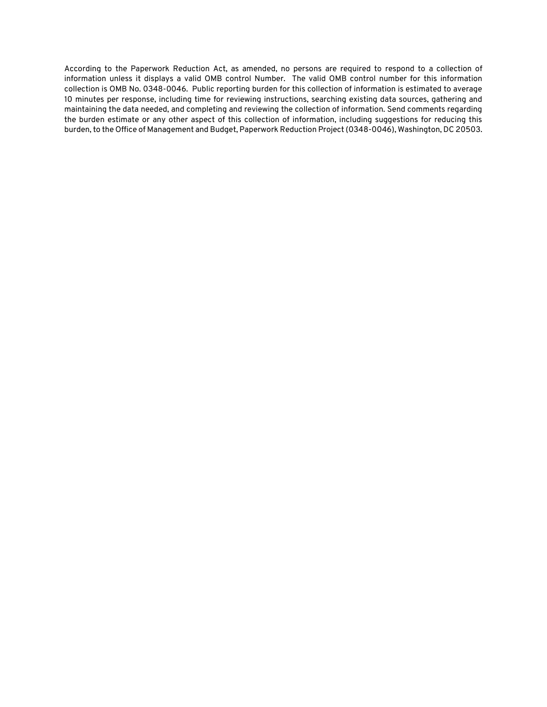According to the Paperwork Reduction Act, as amended, no persons are required to respond to a collection of information unless it displays a valid OMB control Number. The valid OMB control number for this information collection is OMB No. 0348-0046. Public reporting burden for this collection of information is estimated to average 10 minutes per response, including time for reviewing instructions, searching existing data sources, gathering and maintaining the data needed, and completing and reviewing the collection of information. Send comments regarding the burden estimate or any other aspect of this collection of information, including suggestions for reducing this burden, to the Office of Management and Budget, Paperwork Reduction Project (0348-0046), Washington, DC 20503.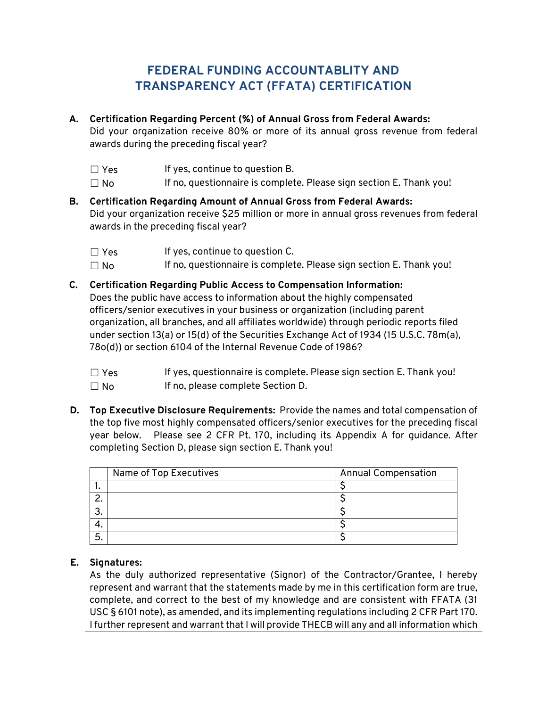# **FEDERAL FUNDING ACCOUNTABLITY AND TRANSPARENCY ACT (FFATA) CERTIFICATION**

- **A. Certification Regarding Percent (%) of Annual Gross from Federal Awards:** Did your organization receive 80% or more of its annual gross revenue from federal awards during the preceding fiscal year?
	- $\Box$  Yes If yes, continue to question B.
	- $\Box$  No  $\Box$  If no, questionnaire is complete. Please sign section E. Thank you!
- **B. Certification Regarding Amount of Annual Gross from Federal Awards:** Did your organization receive \$25 million or more in annual gross revenues from federal awards in the preceding fiscal year?
	- $\Box$  Yes If yes, continue to question C.
	- $\Box$  No If no, questionnaire is complete. Please sign section E. Thank you!
- **C. Certification Regarding Public Access to Compensation Information:**

Does the public have access to information about the highly compensated officers/senior executives in your business or organization (including parent organization, all branches, and all affiliates worldwide) through periodic reports filed under section 13(a) or 15(d) of the Securities Exchange Act of 1934 (15 U.S.C. 78m(a), 78o(d)) or section 6104 of the Internal Revenue Code of 1986?

- $\Box$  Yes If yes, questionnaire is complete. Please sign section E. Thank you!  $\Box$  No If no, please complete Section D.
- **D. Top Executive Disclosure Requirements:** Provide the names and total compensation of the top five most highly compensated officers/senior executives for the preceding fiscal year below. Please see 2 CFR Pt. 170, including its Appendix A for guidance. After completing Section D, please sign section E. Thank you!

| Name of Top Executives | <b>Annual Compensation</b> |
|------------------------|----------------------------|
|                        |                            |
|                        |                            |
|                        |                            |
|                        |                            |
|                        |                            |

#### **E. Signatures:**

As the duly authorized representative (Signor) of the Contractor/Grantee, I hereby represent and warrant that the statements made by me in this certification form are true, complete, and correct to the best of my knowledge and are consistent with FFATA (31 USC § 6101 note), as amended, and its implementing regulations including 2 CFR Part 170. I further represent and warrant that I will provide THECB will any and all information which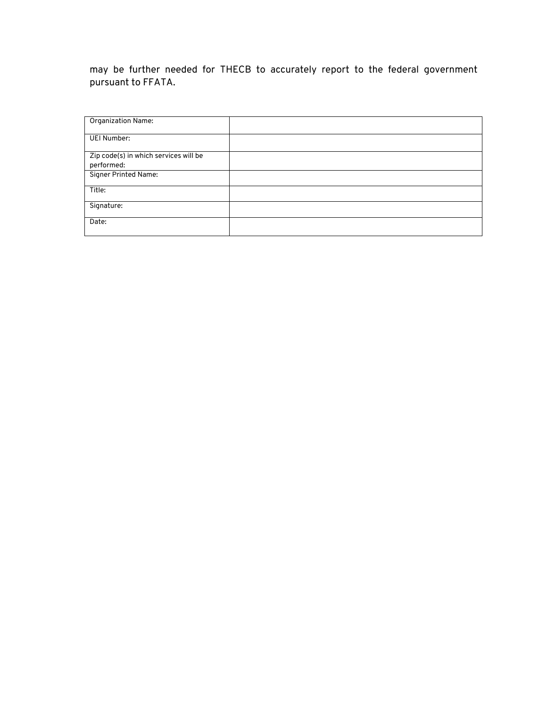may be further needed for THECB to accurately report to the federal government pursuant to FFATA.

| <b>Organization Name:</b>                           |  |
|-----------------------------------------------------|--|
| <b>UEI Number:</b>                                  |  |
| Zip code(s) in which services will be<br>performed: |  |
| Signer Printed Name:                                |  |
| Title:                                              |  |
| Signature:                                          |  |
| Date:                                               |  |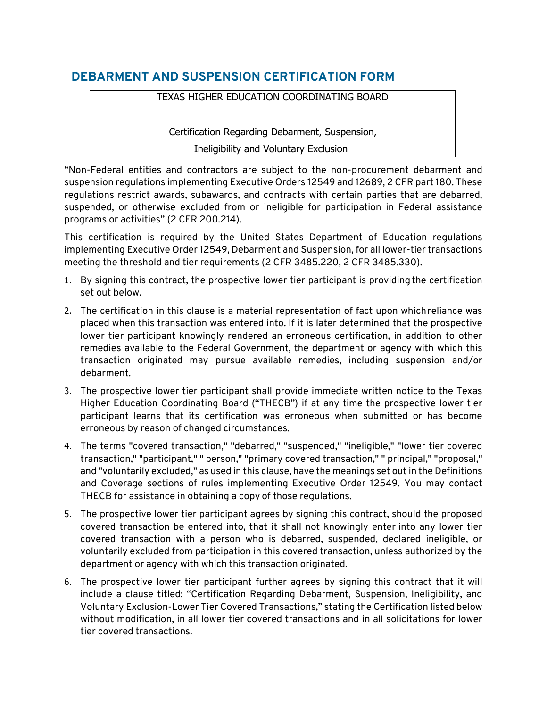# **DEBARMENT AND SUSPENSION CERTIFICATION FORM**

### TEXAS HIGHER EDUCATION COORDINATING BOARD

Certification Regarding Debarment, Suspension,

Ineligibility and Voluntary Exclusion

"Non-Federal entities and contractors are subject to the non-procurement debarment and suspension regulations implementing Executive Orders 12549 and 12689, 2 CFR part 180. These regulations restrict awards, subawards, and contracts with certain parties that are debarred, suspended, or otherwise excluded from or ineligible for participation in Federal assistance programs or activities" (2 CFR 200.214).

This certification is required by the United States Department of Education regulations implementing Executive Order 12549, Debarment and Suspension, for all lower-tier transactions meeting the threshold and tier requirements (2 CFR 3485.220, 2 CFR 3485.330).

- 1. By signing this contract, the prospective lower tier participant is providingthe certification set out below.
- 2. The certification in this clause is a material representation of fact upon whichreliance was placed when this transaction was entered into. If it is later determined that the prospective lower tier participant knowingly rendered an erroneous certification, in addition to other remedies available to the Federal Government, the department or agency with which this transaction originated may pursue available remedies, including suspension and/or debarment.
- 3. The prospective lower tier participant shall provide immediate written notice to the Texas Higher Education Coordinating Board ("THECB") if at any time the prospective lower tier participant learns that its certification was erroneous when submitted or has become erroneous by reason of changed circumstances.
- 4. The terms "covered transaction," "debarred," "suspended," "ineligible," "lower tier covered transaction," "participant," " person," "primary covered transaction," " principal," "proposal," and "voluntarily excluded," as used in this clause, have the meanings set out in the Definitions and Coverage sections of rules implementing Executive Order 12549. You may contact THECB for assistance in obtaining a copy of those regulations.
- 5. The prospective lower tier participant agrees by signing this contract, should the proposed covered transaction be entered into, that it shall not knowingly enter into any lower tier covered transaction with a person who is debarred, suspended, declared ineligible, or voluntarily excluded from participation in this covered transaction, unless authorized by the department or agency with which this transaction originated.
- 6. The prospective lower tier participant further agrees by signing this contract that it will include a clause titled: "Certification Regarding Debarment, Suspension, Ineligibility, and Voluntary Exclusion-Lower Tier Covered Transactions," stating the Certification listed below without modification, in all lower tier covered transactions and in all solicitations for lower tier covered transactions.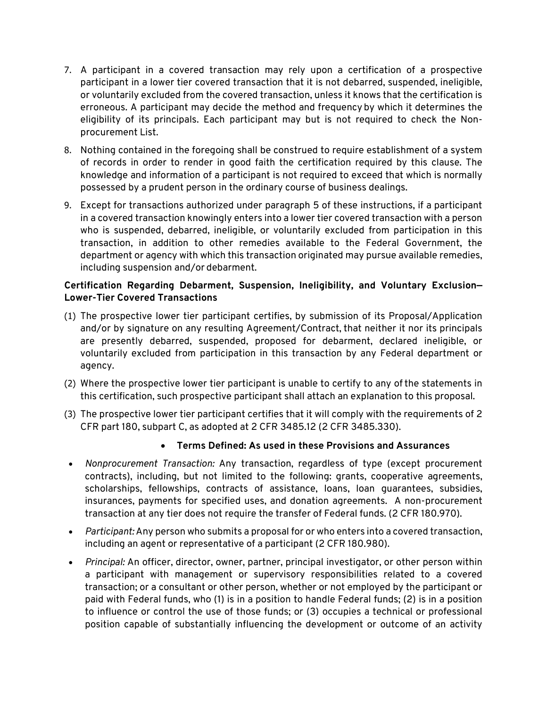- 7. A participant in a covered transaction may rely upon a certification of a prospective participant in a lower tier covered transaction that it is not debarred, suspended, ineligible, or voluntarily excluded from the covered transaction, unless it knows that the certification is erroneous. A participant may decide the method and frequency by which it determines the eligibility of its principals. Each participant may but is not required to check the Nonprocurement List.
- 8. Nothing contained in the foregoing shall be construed to require establishment of a system of records in order to render in good faith the certification required by this clause. The knowledge and information of a participant is not required to exceed that which is normally possessed by a prudent person in the ordinary course of business dealings.
- 9. Except for transactions authorized under paragraph 5 of these instructions, if a participant in a covered transaction knowingly enters into a lower tier covered transaction with a person who is suspended, debarred, ineligible, or voluntarily excluded from participation in this transaction, in addition to other remedies available to the Federal Government, the department or agency with which this transaction originated may pursue available remedies, including suspension and/or debarment.

#### **Certification Regarding Debarment, Suspension, Ineligibility, and Voluntary Exclusion— Lower-Tier Covered Transactions**

- (1) The prospective lower tier participant certifies, by submission of its Proposal/Application and/or by signature on any resulting Agreement/Contract, that neither it nor its principals are presently debarred, suspended, proposed for debarment, declared ineligible, or voluntarily excluded from participation in this transaction by any Federal department or agency.
- (2) Where the prospective lower tier participant is unable to certify to any of the statements in this certification, such prospective participant shall attach an explanation to this proposal.
- (3) The prospective lower tier participant certifies that it will comply with the requirements of 2 CFR part 180, subpart C, as adopted at 2 CFR 3485.12 (2 CFR 3485.330).

#### • **Terms Defined: As used in these Provisions and Assurances**

- *Nonprocurement Transaction:* Any transaction, regardless of type (except procurement contracts), including, but not limited to the following: grants, cooperative agreements, scholarships, fellowships, contracts of assistance, loans, loan guarantees, subsidies, insurances, payments for specified uses, and donation agreements. A non-procurement transaction at any tier does not require the transfer of Federal funds. (2 CFR 180.970).
- *Participant:* Any person who submits a proposal for or who enters into a covered transaction, including an agent or representative of a participant (2 CFR 180.980).
- *Principal:* An officer, director, owner, partner, principal investigator, or other person within a participant with management or supervisory responsibilities related to a covered transaction; or a consultant or other person, whether or not employed by the participant or paid with Federal funds, who (1) is in a position to handle Federal funds; (2) is in a position to influence or control the use of those funds; or (3) occupies a technical or professional position capable of substantially influencing the development or outcome of an activity